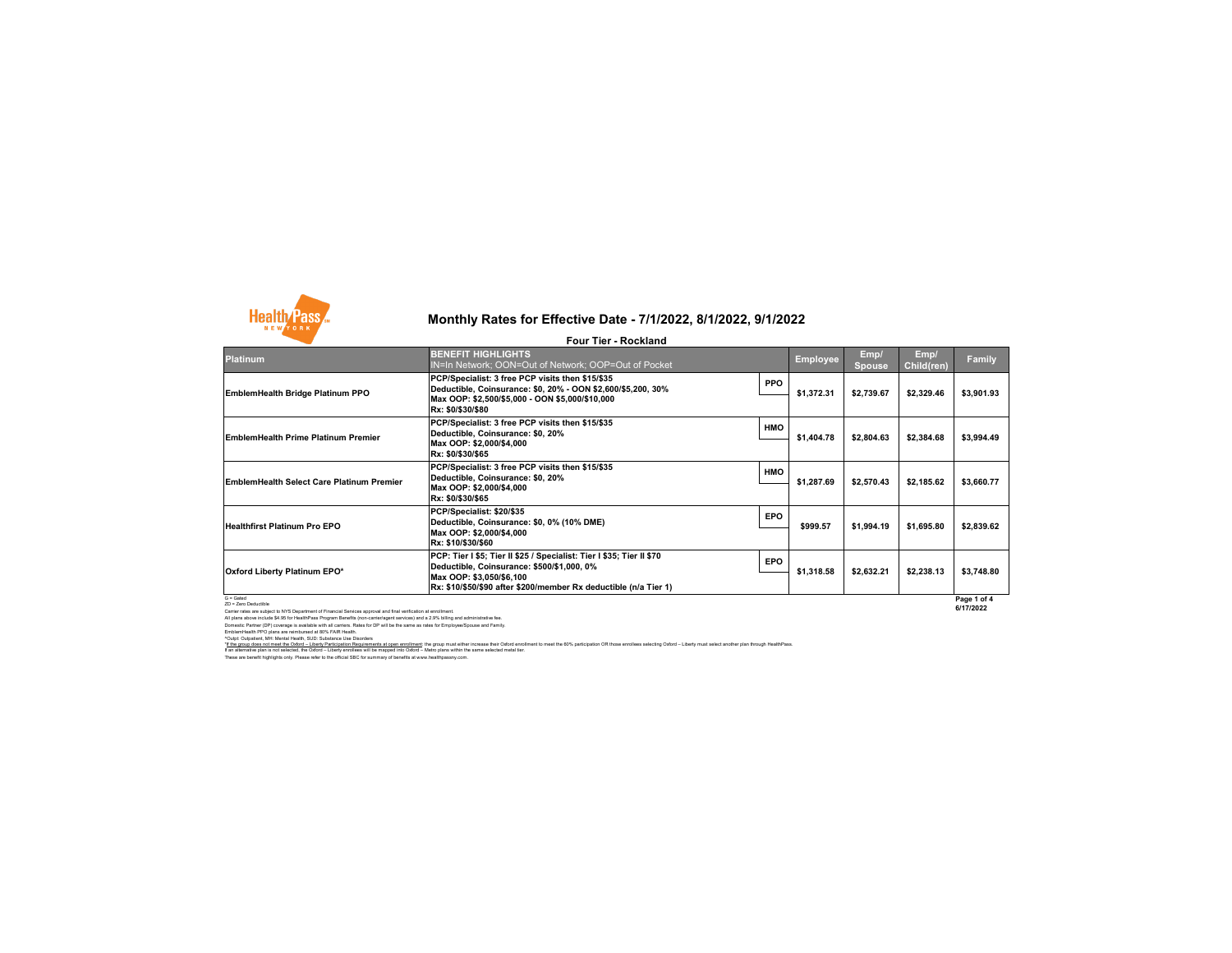

## **Monthly Rates for Effective Date - 7/1/2022, 8/1/2022, 9/1/2022**

|                                                                                                                                                       | <b>Four Tier - Rockland</b>                                                                                                                                                                                         |            |                 |                       |                    |                          |
|-------------------------------------------------------------------------------------------------------------------------------------------------------|---------------------------------------------------------------------------------------------------------------------------------------------------------------------------------------------------------------------|------------|-----------------|-----------------------|--------------------|--------------------------|
| <b>Platinum</b>                                                                                                                                       | <b>BENEFIT HIGHLIGHTS</b><br>IN=In Network; OON=Out of Network; OOP=Out of Pocket                                                                                                                                   |            | <b>Employee</b> | Emp/<br><b>Spouse</b> | Emp/<br>Child(ren) | Family                   |
| EmblemHealth Bridge Platinum PPO                                                                                                                      | PCP/Specialist: 3 free PCP visits then \$15/\$35<br>Deductible, Coinsurance: \$0, 20% - OON \$2,600/\$5,200, 30%<br>Max OOP: \$2,500/\$5,000 - OON \$5,000/\$10,000<br>Rx: \$0/\$30/\$80                            | <b>PPO</b> | \$1,372.31      | \$2,739.67            | \$2,329.46         | \$3,901.93               |
| EmblemHealth Prime Platinum Premier                                                                                                                   | PCP/Specialist: 3 free PCP visits then \$15/\$35<br>Deductible, Coinsurance: \$0, 20%<br>Max OOP: \$2,000/\$4,000<br>Rx: \$0/\$30/\$65                                                                              | <b>HMO</b> | \$1,404.78      | \$2,804.63            | \$2,384.68         | \$3,994.49               |
| EmblemHealth Select Care Platinum Premier                                                                                                             | PCP/Specialist: 3 free PCP visits then \$15/\$35<br>Deductible, Coinsurance: \$0, 20%<br>Max OOP: \$2,000/\$4,000<br>Rx: \$0/\$30/\$65                                                                              | <b>HMO</b> | \$1,287.69      | \$2,570.43            | \$2,185.62         | \$3,660.77               |
| Healthfirst Platinum Pro EPO                                                                                                                          | PCP/Specialist: \$20/\$35<br>Deductible, Coinsurance: \$0, 0% (10% DME)<br>Max OOP: \$2,000/\$4,000<br>Rx: \$10/\$30/\$60                                                                                           | <b>EPO</b> | \$999.57        | \$1.994.19            | \$1,695.80         | \$2,839.62               |
| Oxford Liberty Platinum EPO*                                                                                                                          | PCP: Tier I \$5; Tier II \$25 / Specialist: Tier I \$35; Tier II \$70<br>Deductible, Coinsurance: \$500/\$1,000, 0%<br>Max OOP: \$3,050/\$6,100<br>Rx: \$10/\$50/\$90 after \$200/member Rx deductible (n/a Tier 1) | <b>EPO</b> | \$1,318.58      | \$2,632.21            | \$2,238.13         | \$3,748.80               |
| $G =$ Gated<br>ZD = Zero Deductible<br>Contagnation are articled to NVC Department of Cinemaial Contagn approval and final unification of consiliance |                                                                                                                                                                                                                     |            |                 |                       |                    | Page 1 of 4<br>6/17/2022 |

2D - Zero Deductitie<br>Cartier rates are subject to NYS Department of Financial Services approval and final verification at enrollment<br>All plans above include \$4.5 for HealthPass Program Benefits (non-carrierlagent services)

"<u>If the group does not meet the Odord – Liberty Participation Requirements at open enrolliment</u> the group must ether increase their of order on the fol% participation OR those enrollees selecting Odord – Liberty must sele

These are benefit highlights only. Please refer to the official SBC for summary of benefits at www.healthpassny.com.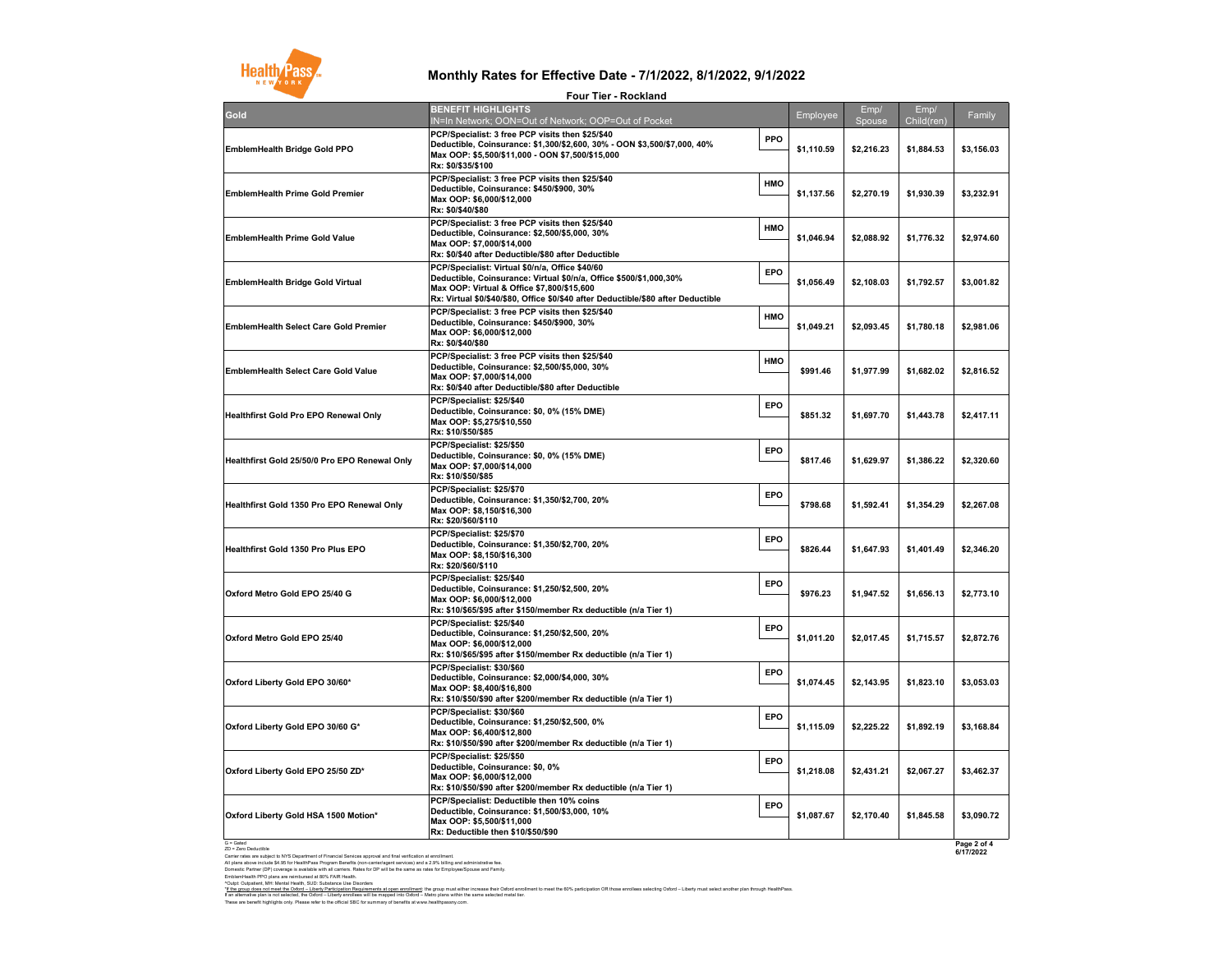

## **Monthly Rates for Effective Date - 7/1/2022, 8/1/2022, 9/1/2022 Four Tier - Rockland**

|                                               | <b>Four Tier - Rockland</b>                                                                                                                                                                                                                              |     |            |                |                    |                |
|-----------------------------------------------|----------------------------------------------------------------------------------------------------------------------------------------------------------------------------------------------------------------------------------------------------------|-----|------------|----------------|--------------------|----------------|
| Gold                                          | <b>BENEFIT HIGHLIGHTS</b><br>IN=In Network; OON=Out of Network; OOP=Out of Pocket                                                                                                                                                                        |     | Employee   | Emp/<br>Spouse | Emp/<br>Child(ren) | Family         |
| EmblemHealth Bridge Gold PPO                  | PCP/Specialist: 3 free PCP visits then \$25/\$40<br>Deductible, Coinsurance: \$1,300/\$2,600, 30% - OON \$3,500/\$7,000, 40%<br>Max OOP: \$5,500/\$11,000 - OON \$7,500/\$15,000<br>Rx: \$0/\$35/\$100                                                   | PPO | \$1,110.59 | \$2,216.23     | \$1,884.53         | \$3,156.03     |
| <b>EmblemHealth Prime Gold Premier</b>        | PCP/Specialist: 3 free PCP visits then \$25/\$40<br>Deductible, Coinsurance: \$450/\$900, 30%<br>Max OOP: \$6.000/\$12.000<br>Rx: \$0/\$40/\$80                                                                                                          | HMO | \$1,137.56 | \$2,270.19     | \$1,930.39         | \$3,232.91     |
| <b>EmblemHealth Prime Gold Value</b>          | PCP/Specialist: 3 free PCP visits then \$25/\$40<br>Deductible, Coinsurance: \$2,500/\$5,000, 30%<br>Max OOP: \$7,000/\$14,000<br>Rx: \$0/\$40 after Deductible/\$80 after Deductible                                                                    | HMO | \$1,046.94 | \$2,088.92     | \$1,776.32         | \$2,974.60     |
| EmblemHealth Bridge Gold Virtual              | PCP/Specialist: Virtual \$0/n/a, Office \$40/60<br>Deductible, Coinsurance: Virtual \$0/n/a, Office \$500/\$1,000,30%<br>Max OOP: Virtual & Office \$7,800/\$15,600<br>Rx: Virtual \$0/\$40/\$80, Office \$0/\$40 after Deductible/\$80 after Deductible | EPO | \$1,056.49 | \$2,108.03     | \$1,792.57         | \$3,001.82     |
| EmblemHealth Select Care Gold Premier         | PCP/Specialist: 3 free PCP visits then \$25/\$40<br>Deductible, Coinsurance: \$450/\$900, 30%<br>Max OOP: \$6,000/\$12,000<br>Rx: \$0/\$40/\$80                                                                                                          | HMO | \$1,049.21 | \$2,093.45     | \$1,780.18         | \$2,981.06     |
| <b>EmblemHealth Select Care Gold Value</b>    | PCP/Specialist: 3 free PCP visits then \$25/\$40<br>Deductible, Coinsurance: \$2,500/\$5,000, 30%<br>Max OOP: \$7,000/\$14,000<br>Rx: \$0/\$40 after Deductible/\$80 after Deductible                                                                    | HMO | \$991.46   | \$1,977.99     | \$1,682.02         | \$2,816.52     |
| Healthfirst Gold Pro EPO Renewal Only         | PCP/Specialist: \$25/\$40<br>Deductible, Coinsurance: \$0, 0% (15% DME)<br>Max OOP: \$5,275/\$10,550<br>Rx: \$10/\$50/\$85                                                                                                                               | EPO | \$851.32   | \$1,697.70     | \$1,443.78         | \$2,417.11     |
| Healthfirst Gold 25/50/0 Pro EPO Renewal Only | PCP/Specialist: \$25/\$50<br>Deductible, Coinsurance: \$0, 0% (15% DME)<br>Max OOP: \$7,000/\$14,000<br>Rx: \$10/\$50/\$85                                                                                                                               | EPO | \$817.46   | \$1,629.97     | \$1,386.22         | \$2,320.60     |
| Healthfirst Gold 1350 Pro EPO Renewal Only    | PCP/Specialist: \$25/\$70<br>Deductible, Coinsurance: \$1,350/\$2,700, 20%<br>Max OOP: \$8,150/\$16,300<br>Rx: \$20/\$60/\$110                                                                                                                           | EPO | \$798.68   | \$1,592.41     | \$1,354.29         | \$2,267.08     |
| Healthfirst Gold 1350 Pro Plus EPO            | PCP/Specialist: \$25/\$70<br>Deductible, Coinsurance: \$1,350/\$2,700, 20%<br>Max OOP: \$8,150/\$16,300<br>Rx: \$20/\$60/\$110                                                                                                                           | EPO | \$826.44   | \$1,647.93     | \$1,401.49         | \$2,346.20     |
| Oxford Metro Gold EPO 25/40 G                 | PCP/Specialist: \$25/\$40<br>Deductible, Coinsurance: \$1,250/\$2,500, 20%<br>Max OOP: \$6,000/\$12,000<br>Rx: \$10/\$65/\$95 after \$150/member Rx deductible (n/a Tier 1)                                                                              | EPO | \$976.23   | \$1,947.52     | \$1,656.13         | \$2,773.10     |
| Oxford Metro Gold EPO 25/40                   | PCP/Specialist: \$25/\$40<br>Deductible, Coinsurance: \$1,250/\$2,500, 20%<br>Max OOP: \$6,000/\$12,000<br>Rx: \$10/\$65/\$95 after \$150/member Rx deductible (n/a Tier 1)                                                                              | EPO | \$1,011.20 | \$2,017.45     | \$1,715.57         | \$2,872.76     |
| Oxford Liberty Gold EPO 30/60*                | PCP/Specialist: \$30/\$60<br>Deductible, Coinsurance: \$2,000/\$4,000, 30%<br>Max OOP: \$8,400/\$16,800<br>Rx: \$10/\$50/\$90 after \$200/member Rx deductible (n/a Tier 1)                                                                              | EPO | \$1,074.45 | \$2,143.95     | \$1,823.10         | \$3,053.03     |
| Oxford Liberty Gold EPO 30/60 G*              | PCP/Specialist: \$30/\$60<br>Deductible, Coinsurance: \$1,250/\$2,500, 0%<br>Max OOP: \$6,400/\$12,800<br>Rx: \$10/\$50/\$90 after \$200/member Rx deductible (n/a Tier 1)                                                                               | EPO | \$1,115.09 | \$2,225.22     | \$1,892.19         | \$3,168.84     |
| Oxford Liberty Gold EPO 25/50 ZD*             | PCP/Specialist: \$25/\$50<br>Deductible, Coinsurance: \$0, 0%<br>Max OOP: \$6,000/\$12,000<br>Rx: \$10/\$50/\$90 after \$200/member Rx deductible (n/a Tier 1)                                                                                           | EPO | \$1,218.08 | \$2,431.21     | \$2,067.27         | \$3,462.37     |
| Oxford Liberty Gold HSA 1500 Motion*          | PCP/Specialist: Deductible then 10% coins<br>Deductible, Coinsurance: \$1,500/\$3,000, 10%<br>Max OOP: \$5,500/\$11,000<br>Rx: Deductible then \$10/\$50/\$90                                                                                            | EPO | \$1.087.67 | \$2,170.40     | \$1.845.58         | \$3,090.72     |
| $G =$ Gated                                   |                                                                                                                                                                                                                                                          |     |            |                |                    | $Proof 2 of A$ |

G = Galed<br>20 = Zone Deductible<br>Al para second project to NYS Department of Financial Services approval and final verification at enrollment.<br>Al plane above motion \$4.95 for HealthPass Pregnam Benefits (non-carrietingent se

"<u>If the quou does not meet the Oddrd – Liberty Participation Requirements at open enrolliment</u> the group must ether increase their of order of the follinent to meet the 60% participation OR those enrollees selecting Odord

These are benefit highlights only. Please refer to the official SBC for summary of benefits at www.healthpassny.com.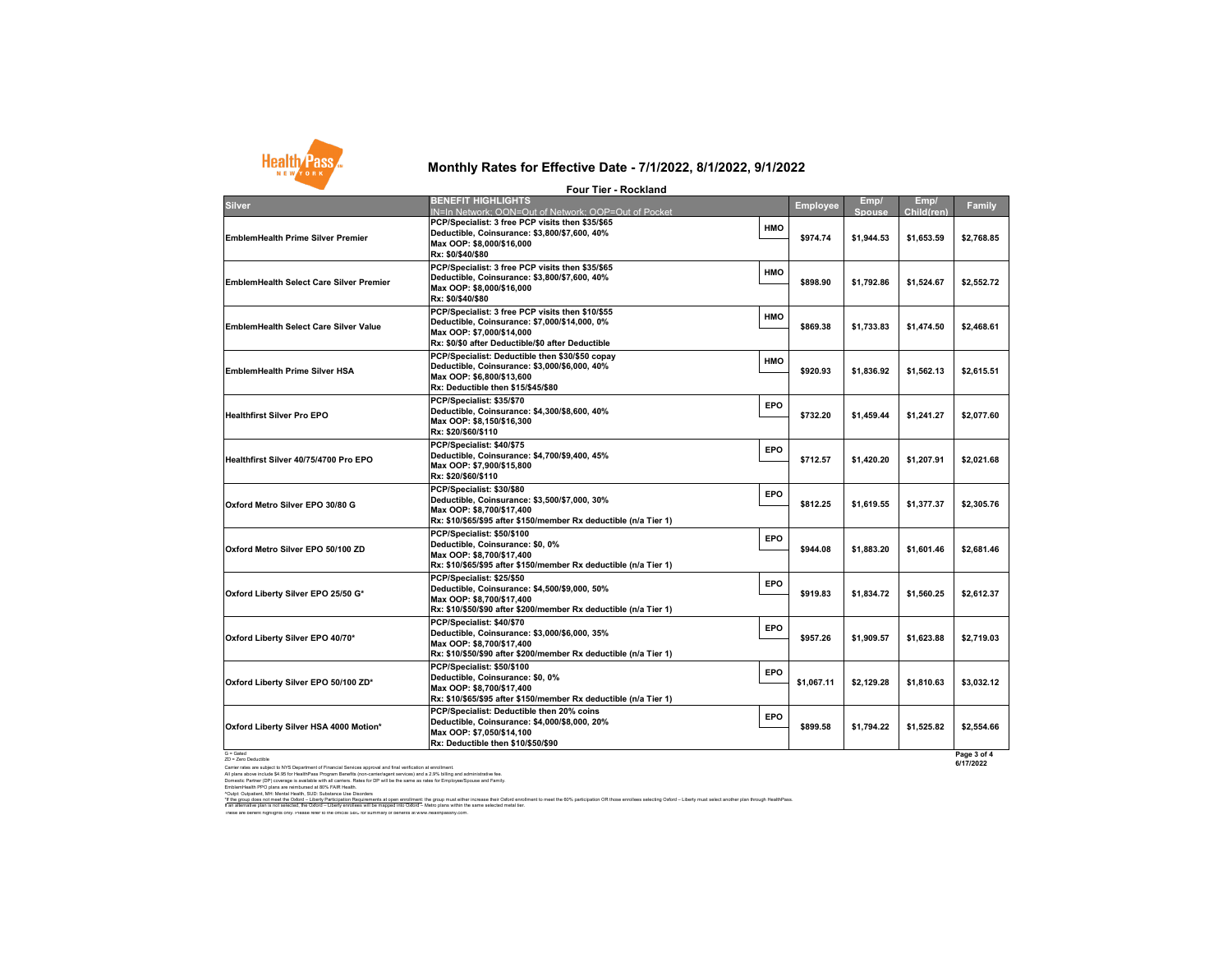

## **Monthly Rates for Effective Date - 7/1/2022, 8/1/2022, 9/1/2022**

|                                                | <b>Four Tier - Rockland</b>                                                                                                                                                         |            |            |                       |                    |            |
|------------------------------------------------|-------------------------------------------------------------------------------------------------------------------------------------------------------------------------------------|------------|------------|-----------------------|--------------------|------------|
| <b>Silver</b>                                  | <b>BENEFIT HIGHLIGHTS</b><br>IN=In Network: OON=Out of Network: OOP=Out of Pocket                                                                                                   |            | Employee   | Emp/<br><b>Spouse</b> | Emp/<br>Child(ren) | Family     |
| <b>EmblemHealth Prime Silver Premier</b>       | PCP/Specialist: 3 free PCP visits then \$35/\$65<br>Deductible, Coinsurance: \$3,800/\$7,600, 40%<br>Max OOP: \$8,000/\$16,000<br>Rx: \$0/\$40/\$80                                 | HMO        | \$974.74   | \$1,944.53            | \$1,653.59         | \$2,768.85 |
| <b>EmblemHealth Select Care Silver Premier</b> | PCP/Specialist: 3 free PCP visits then \$35/\$65<br>Deductible, Coinsurance: \$3,800/\$7,600, 40%<br>Max OOP: \$8,000/\$16,000<br>Rx: \$0/\$40/\$80                                 | HMO        | \$898.90   | \$1,792.86            | \$1,524.67         | \$2,552.72 |
| EmblemHealth Select Care Silver Value          | PCP/Specialist: 3 free PCP visits then \$10/\$55<br>Deductible, Coinsurance: \$7,000/\$14,000, 0%<br>Max OOP: \$7,000/\$14,000<br>Rx: \$0/\$0 after Deductible/\$0 after Deductible | HMO        | \$869.38   | \$1,733.83            | \$1,474.50         | \$2,468.61 |
| <b>EmblemHealth Prime Silver HSA</b>           | PCP/Specialist: Deductible then \$30/\$50 copay<br>Deductible, Coinsurance: \$3,000/\$6,000, 40%<br>Max OOP: \$6,800/\$13,600<br>Rx: Deductible then \$15/\$45/\$80                 | <b>HMO</b> | \$920.93   | \$1.836.92            | \$1,562.13         | \$2,615.51 |
| <b>Healthfirst Silver Pro EPO</b>              | PCP/Specialist: \$35/\$70<br>Deductible, Coinsurance: \$4,300/\$8,600, 40%<br>Max OOP: \$8,150/\$16,300<br>Rx: \$20/\$60/\$110                                                      | <b>EPO</b> | \$732.20   | \$1,459.44            | \$1,241.27         | \$2,077.60 |
| Healthfirst Silver 40/75/4700 Pro EPO          | PCP/Specialist: \$40/\$75<br>Deductible, Coinsurance: \$4,700/\$9,400, 45%<br>Max OOP: \$7,900/\$15,800<br>Rx: \$20/\$60/\$110                                                      | <b>EPO</b> | \$712.57   | \$1,420.20            | \$1,207.91         | \$2,021.68 |
| Oxford Metro Silver EPO 30/80 G                | PCP/Specialist: \$30/\$80<br>Deductible, Coinsurance: \$3,500/\$7,000, 30%<br>Max OOP: \$8,700/\$17,400<br>Rx: \$10/\$65/\$95 after \$150/member Rx deductible (n/a Tier 1)         | <b>EPO</b> | \$812.25   | \$1.619.55            | \$1,377.37         | \$2,305.76 |
| Oxford Metro Silver EPO 50/100 ZD              | PCP/Specialist: \$50/\$100<br>Deductible, Coinsurance: \$0, 0%<br>Max OOP: \$8,700/\$17,400<br>Rx: \$10/\$65/\$95 after \$150/member Rx deductible (n/a Tier 1)                     | <b>EPO</b> | \$944.08   | \$1,883.20            | \$1,601.46         | \$2,681.46 |
| Oxford Liberty Silver EPO 25/50 G*             | PCP/Specialist: \$25/\$50<br>Deductible, Coinsurance: \$4,500/\$9,000, 50%<br>Max OOP: \$8,700/\$17,400<br>Rx: \$10/\$50/\$90 after \$200/member Rx deductible (n/a Tier 1)         | <b>EPO</b> | \$919.83   | \$1.834.72            | \$1,560.25         | \$2,612.37 |
| Oxford Liberty Silver EPO 40/70*               | PCP/Specialist: \$40/\$70<br>Deductible, Coinsurance: \$3,000/\$6,000, 35%<br>Max OOP: \$8,700/\$17,400<br>Rx: \$10/\$50/\$90 after \$200/member Rx deductible (n/a Tier 1)         | <b>EPO</b> | \$957.26   | \$1.909.57            | \$1.623.88         | \$2.719.03 |
| Oxford Liberty Silver EPO 50/100 ZD*           | PCP/Specialist: \$50/\$100<br>Deductible, Coinsurance: \$0, 0%<br>Max OOP: \$8,700/\$17,400<br>Rx: \$10/\$65/\$95 after \$150/member Rx deductible (n/a Tier 1)                     | <b>EPO</b> | \$1,067.11 | \$2.129.28            | \$1,810.63         | \$3,032.12 |
| Oxford Liberty Silver HSA 4000 Motion*         | PCP/Specialist: Deductible then 20% coins<br>Deductible, Coinsurance: \$4,000/\$8,000, 20%<br>Max OOP: \$7,050/\$14,100<br>Rx: Deductible then \$10/\$50/\$90                       | EPO        | \$899.58   | \$1.794.22            | \$1.525.82         | \$2.554.66 |
|                                                |                                                                                                                                                                                     |            |            |                       |                    |            |

**Page 3 of 4 6/17/2022**

G = Gated ZD = Zero Deductible

Cariner rates are subject to NYS Department of Financial Services approval and final verification at enrolment<br>All plans above include \$4.95 for HealthPass Program Benefits (non-carrieriagent services) and a 2.9% billing a

rOugheri, Mr. Merial Helli, SUD, Substract Me Blooders<br>I an allematic planned and the Substract Mericule in all computations and the formal the formal that meet the 60% participation OR those entities selecting Oxford – Li

These are benefit highlights only. Please refer to the official SBC for summary of benefits at www.healthpassny.com.